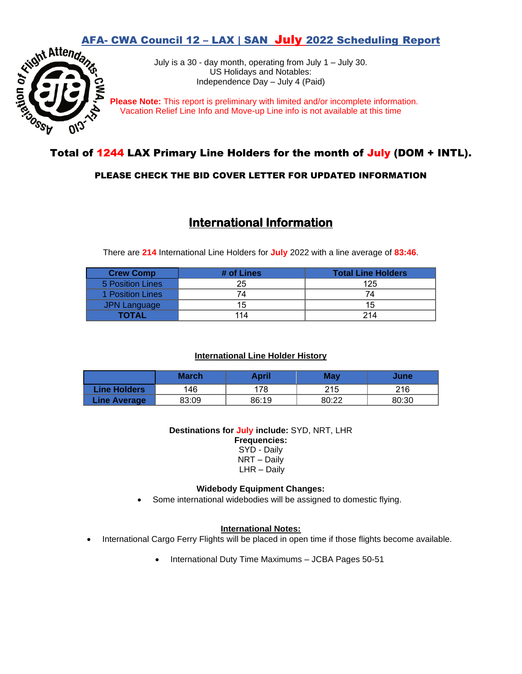

**AFA- CWA Council 12 – LAX | SAN July 2022 Scheduling Report**<br>July is a 30 - day month, operating from July 1 – July 30.<br>US Holidays and Notables:<br>Sudependence Day – July 4 (Paid) July is a 30 - day month, operating from July 1 – July 30. US Holidays and Notables: Independence Day – July 4 (Paid)

 **Please Note:** This report is preliminary with limited and/or incomplete information. Vacation Relief Line Info and Move-up Line info is not available at this time

# Total of 1244 LAX Primary Line Holders for the month of July (DOM + INTL).

## PLEASE CHECK THE BID COVER LETTER FOR UPDATED INFORMATION

# **International Information**

There are **214** International Line Holders for **July** 2022 with a line average of **83:46**.

| <b>Crew Comp</b> | # of Lines | <b>Total Line Holders</b> |
|------------------|------------|---------------------------|
| 5 Position Lines | 25         | 125                       |
| 1 Position Lines | 74         |                           |
| JPN Language     | 15         | 15                        |
| TOTAL            |            | 214                       |

### **International Line Holder History**

|                     | <b>March</b> | April | Mav   | June  |
|---------------------|--------------|-------|-------|-------|
| Line Holders        | 146          | 78    | 215   | 216   |
| <b>Line Average</b> | 83:09        | 86:19 | 80:22 | 80:30 |

**Destinations for July include:** SYD, NRT, LHR **Frequencies:** 

> SYD - Daily NRT – Daily LHR – Daily

#### **Widebody Equipment Changes:**

Some international widebodies will be assigned to domestic flying.

#### **International Notes:**

- International Cargo Ferry Flights will be placed in open time if those flights become available.
	- International Duty Time Maximums JCBA Pages 50-51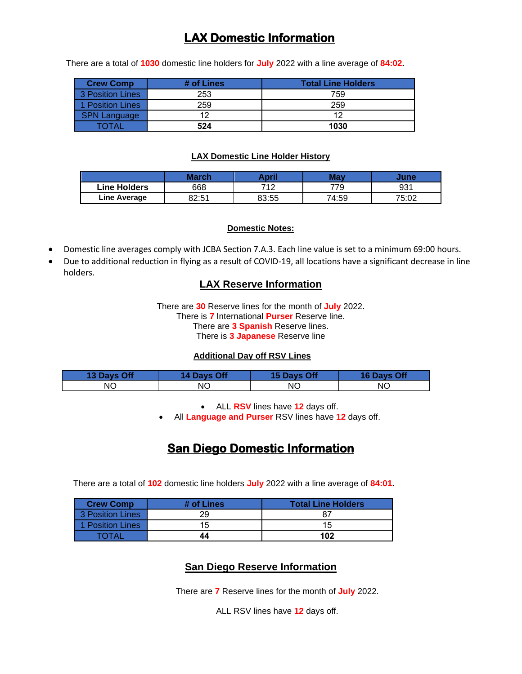# **LAX Domestic Information**

There are a total of **1030** domestic line holders for **July** 2022 with a line average of **84:02.**

| <b>Crew Comp</b>      | # of Lines | <b>Total Line Holders</b> |
|-----------------------|------------|---------------------------|
| 3 Position Lines      | 253        | 759                       |
| <b>Position Lines</b> | 259        | 259                       |
| SPN Language          | ィウ         | 12                        |
|                       | 524        | 1030                      |

#### **LAX Domestic Line Holder History**

|              | March                  | ∖pril | Mav   | June  |
|--------------|------------------------|-------|-------|-------|
| Line Holders | 668                    | 74 0  | 779   | 931   |
| Line Average | <b>Qつ・にイ</b><br>D∠.ວ ເ | 83:55 | 74:59 | 75:02 |

#### **Domestic Notes:**

- Domestic line averages comply with JCBA Section 7.A.3. Each line value is set to a minimum 69:00 hours.
- Due to additional reduction in flying as a result of COVID-19, all locations have a significant decrease in line holders.

## **LAX Reserve Information**

There are **30** Reserve lines for the month of **July** 2022. There is **7** International **Purser** Reserve line. There are **3 Spanish** Reserve lines. There is **3 Japanese** Reserve line

#### **Additional Day off RSV Lines**

| <b>13 Days Off</b> | 14 Days Off | 15 Days Off | 16 Days Off |
|--------------------|-------------|-------------|-------------|
| NΟ                 | NΟ          | ΝC          | ΝO          |

• ALL **RSV** lines have **12** days off.

• All **Language and Purser** RSV lines have **12** days off.

# **San Diego Domestic Information**

There are a total of **102** domestic line holders **July** 2022 with a line average of **84:01.**

| <b>Crew Comp</b> | # of Lines | <b>Total Line Holders</b> |
|------------------|------------|---------------------------|
| 3 Position Lines | 29         |                           |
| 1 Position Lines | 15         | 15                        |
| TOTA.            | 44         | 102                       |

## **San Diego Reserve Information**

There are **7** Reserve lines for the month of **July** 2022.

ALL RSV lines have **12** days off.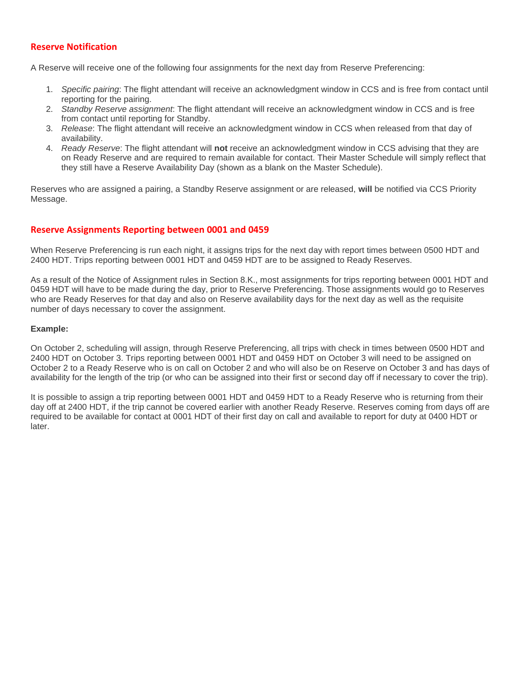#### **Reserve Notification**

A Reserve will receive one of the following four assignments for the next day from Reserve Preferencing:

- 1. *Specific pairing*: The flight attendant will receive an acknowledgment window in CCS and is free from contact until reporting for the pairing.
- 2. *Standby Reserve assignment*: The flight attendant will receive an acknowledgment window in CCS and is free from contact until reporting for Standby.
- 3. *Release*: The flight attendant will receive an acknowledgment window in CCS when released from that day of availability.
- 4. *Ready Reserve*: The flight attendant will **not** receive an acknowledgment window in CCS advising that they are on Ready Reserve and are required to remain available for contact. Their Master Schedule will simply reflect that they still have a Reserve Availability Day (shown as a blank on the Master Schedule).

Reserves who are assigned a pairing, a Standby Reserve assignment or are released, **will** be notified via CCS Priority Message.

#### **Reserve Assignments Reporting between 0001 and 0459**

When Reserve Preferencing is run each night, it assigns trips for the next day with report times between 0500 HDT and 2400 HDT. Trips reporting between 0001 HDT and 0459 HDT are to be assigned to Ready Reserves.

As a result of the Notice of Assignment rules in Section 8.K., most assignments for trips reporting between 0001 HDT and 0459 HDT will have to be made during the day, prior to Reserve Preferencing. Those assignments would go to Reserves who are Ready Reserves for that day and also on Reserve availability days for the next day as well as the requisite number of days necessary to cover the assignment.

#### **Example:**

On October 2, scheduling will assign, through Reserve Preferencing, all trips with check in times between 0500 HDT and 2400 HDT on October 3. Trips reporting between 0001 HDT and 0459 HDT on October 3 will need to be assigned on October 2 to a Ready Reserve who is on call on October 2 and who will also be on Reserve on October 3 and has days of availability for the length of the trip (or who can be assigned into their first or second day off if necessary to cover the trip).

It is possible to assign a trip reporting between 0001 HDT and 0459 HDT to a Ready Reserve who is returning from their day off at 2400 HDT, if the trip cannot be covered earlier with another Ready Reserve. Reserves coming from days off are required to be available for contact at 0001 HDT of their first day on call and available to report for duty at 0400 HDT or later.